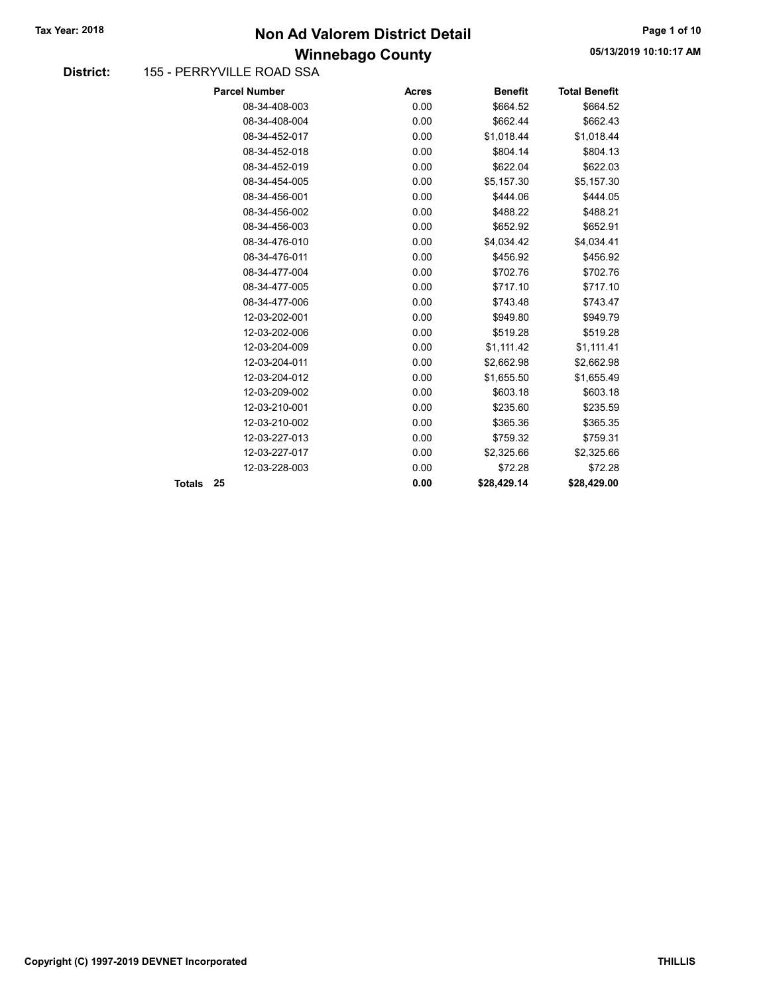### Winnebago County Tax Year: 2018 **Non Ad Valorem District Detail** Tax Year: 2018 **Page 1 of 10**

#### District: 155 - PERRYVILLE ROAD SSA

|        | <b>Parcel Number</b> | <b>Acres</b> | <b>Benefit</b> | <b>Total Benefit</b> |
|--------|----------------------|--------------|----------------|----------------------|
|        | 08-34-408-003        | 0.00         | \$664.52       | \$664.52             |
|        | 08-34-408-004        | 0.00         | \$662.44       | \$662.43             |
|        | 08-34-452-017        | 0.00         | \$1,018.44     | \$1,018.44           |
|        | 08-34-452-018        | 0.00         | \$804.14       | \$804.13             |
|        | 08-34-452-019        | 0.00         | \$622.04       | \$622.03             |
|        | 08-34-454-005        | 0.00         | \$5,157.30     | \$5,157.30           |
|        | 08-34-456-001        | 0.00         | \$444.06       | \$444.05             |
|        | 08-34-456-002        | 0.00         | \$488.22       | \$488.21             |
|        | 08-34-456-003        | 0.00         | \$652.92       | \$652.91             |
|        | 08-34-476-010        | 0.00         | \$4,034.42     | \$4,034.41           |
|        | 08-34-476-011        | 0.00         | \$456.92       | \$456.92             |
|        | 08-34-477-004        | 0.00         | \$702.76       | \$702.76             |
|        | 08-34-477-005        | 0.00         | \$717.10       | \$717.10             |
|        | 08-34-477-006        | 0.00         | \$743.48       | \$743.47             |
|        | 12-03-202-001        | 0.00         | \$949.80       | \$949.79             |
|        | 12-03-202-006        | 0.00         | \$519.28       | \$519.28             |
|        | 12-03-204-009        | 0.00         | \$1,111.42     | \$1,111.41           |
|        | 12-03-204-011        | 0.00         | \$2,662.98     | \$2,662.98           |
|        | 12-03-204-012        | 0.00         | \$1,655.50     | \$1,655.49           |
|        | 12-03-209-002        | 0.00         | \$603.18       | \$603.18             |
|        | 12-03-210-001        | 0.00         | \$235.60       | \$235.59             |
|        | 12-03-210-002        | 0.00         | \$365.36       | \$365.35             |
|        | 12-03-227-013        | 0.00         | \$759.32       | \$759.31             |
|        | 12-03-227-017        | 0.00         | \$2,325.66     | \$2,325.66           |
|        | 12-03-228-003        | 0.00         | \$72.28        | \$72.28              |
| Totals | 25                   | 0.00         | \$28,429.14    | \$28,429.00          |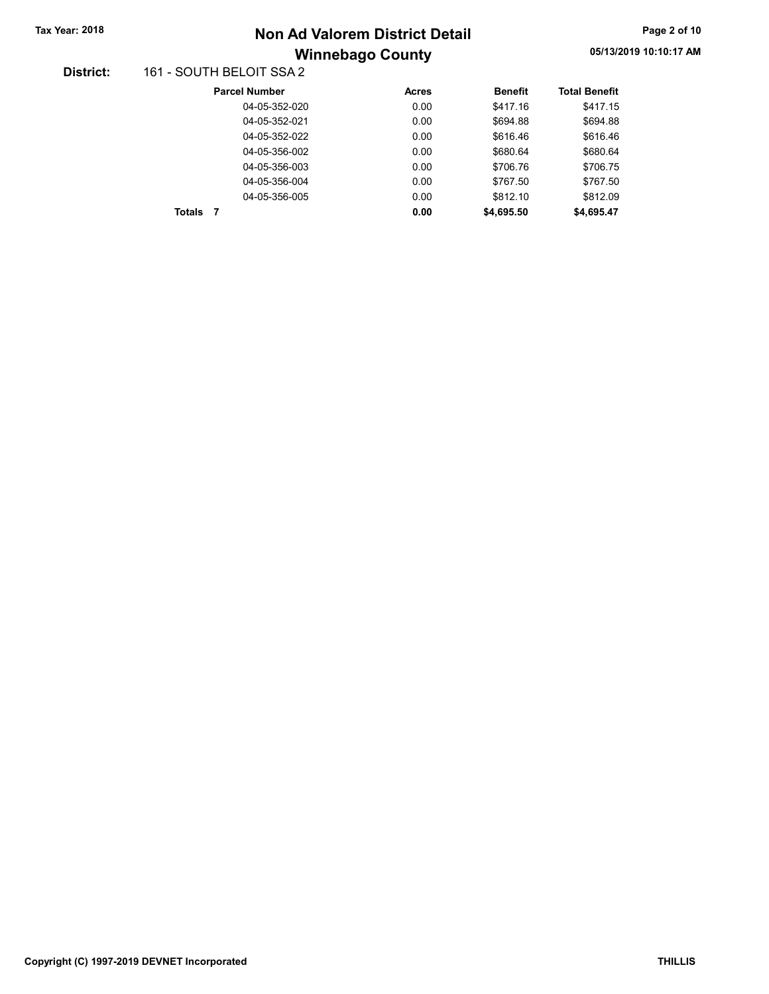# Winnebago County Tax Year: 2018 **Non Ad Valorem District Detail** Tax Year: 2018 **Page 2 of 10**

#### District: 161 - SOUTH BELOIT SSA 2

| <b>Parcel Number</b> | <b>Acres</b> | <b>Benefit</b> | <b>Total Benefit</b> |
|----------------------|--------------|----------------|----------------------|
| 04-05-352-020        | 0.00         | \$417.16       | \$417.15             |
| 04-05-352-021        | 0.00         | \$694.88       | \$694.88             |
| 04-05-352-022        | 0.00         | \$616.46       | \$616.46             |
| 04-05-356-002        | 0.00         | \$680.64       | \$680.64             |
| 04-05-356-003        | 0.00         | \$706.76       | \$706.75             |
| 04-05-356-004        | 0.00         | \$767.50       | \$767.50             |
| 04-05-356-005        | 0.00         | \$812.10       | \$812.09             |
| Totals               | 0.00         | \$4,695.50     | \$4,695.47           |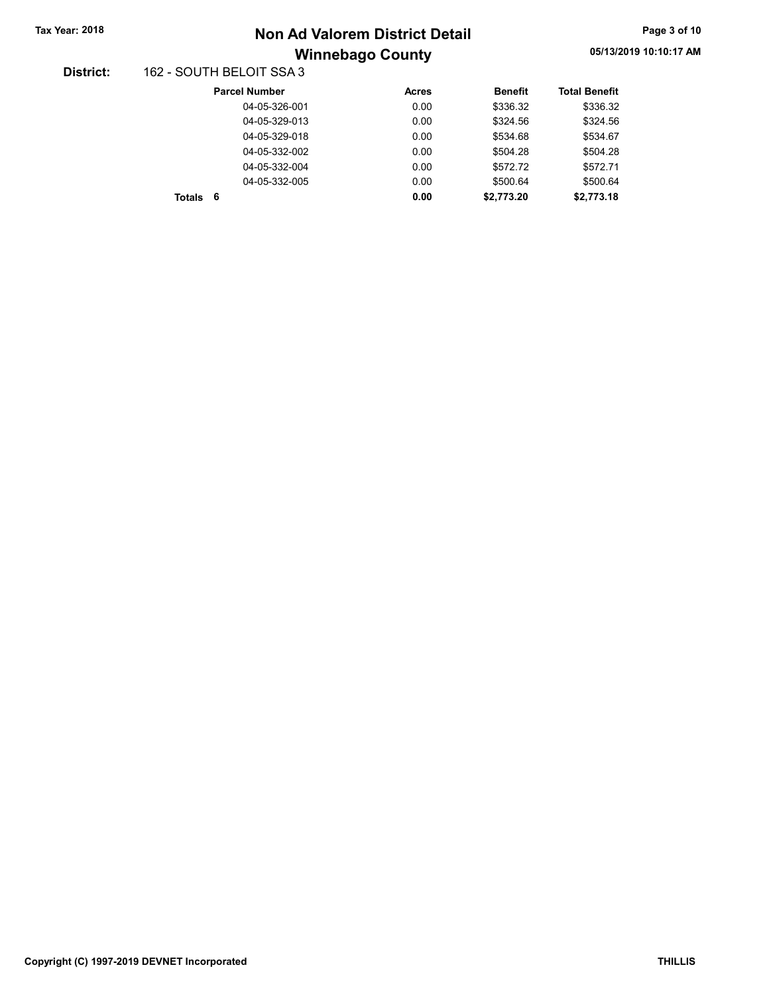# Winnebago County Tax Year: 2018 **Non Ad Valorem District Detail** Tax Year: 2018 **Page 3 of 10**

#### District: 162 - SOUTH BELOIT SSA 3

| <b>Parcel Number</b> | <b>Acres</b> | <b>Benefit</b> | <b>Total Benefit</b> |
|----------------------|--------------|----------------|----------------------|
| 04-05-326-001        | 0.00         | \$336.32       | \$336.32             |
| 04-05-329-013        | 0.00         | \$324.56       | \$324.56             |
| 04-05-329-018        | 0.00         | \$534.68       | \$534.67             |
| 04-05-332-002        | 0.00         | \$504.28       | \$504.28             |
| 04-05-332-004        | 0.00         | \$572.72       | \$572.71             |
| 04-05-332-005        | 0.00         | \$500.64       | \$500.64             |
| - 6<br><b>Totals</b> | 0.00         | \$2,773.20     | \$2,773.18           |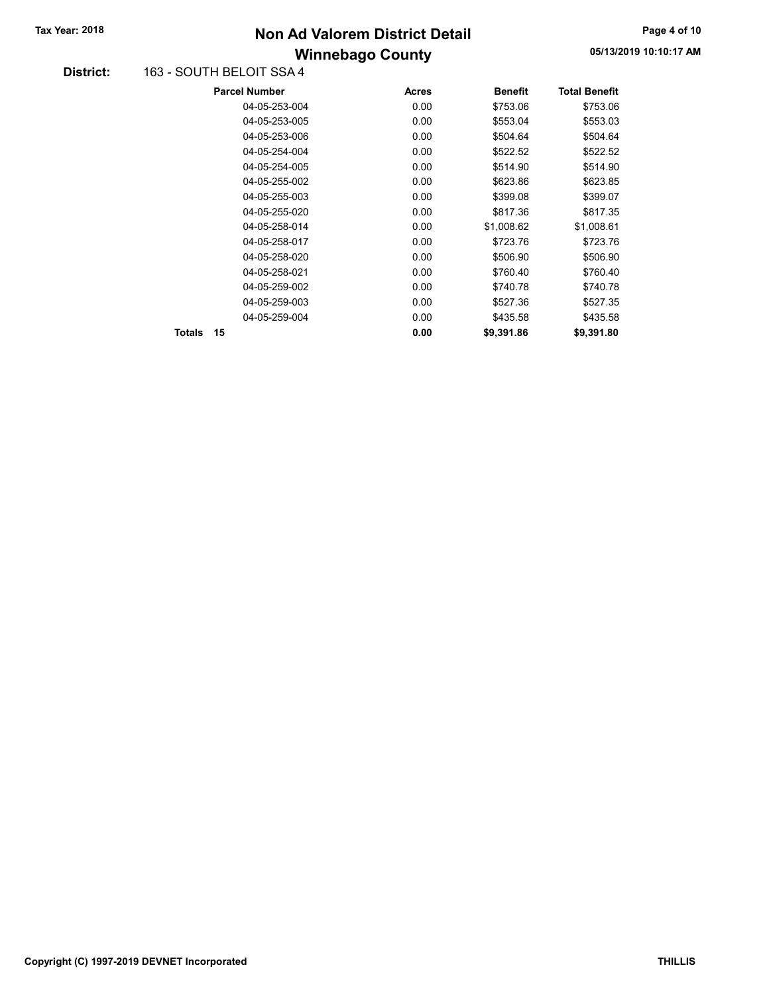## Winnebago County Tax Year: 2018 **Non Ad Valorem District Detail** Tax Year: 2018 **Page 4 of 10**

#### District: 163 - SOUTH BELOIT SSA 4

|        | <b>Parcel Number</b> | <b>Acres</b> | <b>Benefit</b> | <b>Total Benefit</b> |
|--------|----------------------|--------------|----------------|----------------------|
|        | 04-05-253-004        | 0.00         | \$753.06       | \$753.06             |
|        | 04-05-253-005        | 0.00         | \$553.04       | \$553.03             |
|        | 04-05-253-006        | 0.00         | \$504.64       | \$504.64             |
|        | 04-05-254-004        | 0.00         | \$522.52       | \$522.52             |
|        | 04-05-254-005        | 0.00         | \$514.90       | \$514.90             |
|        | 04-05-255-002        | 0.00         | \$623.86       | \$623.85             |
|        | 04-05-255-003        | 0.00         | \$399.08       | \$399.07             |
|        | 04-05-255-020        | 0.00         | \$817.36       | \$817.35             |
|        | 04-05-258-014        | 0.00         | \$1,008.62     | \$1,008.61           |
|        | 04-05-258-017        | 0.00         | \$723.76       | \$723.76             |
|        | 04-05-258-020        | 0.00         | \$506.90       | \$506.90             |
|        | 04-05-258-021        | 0.00         | \$760.40       | \$760.40             |
|        | 04-05-259-002        | 0.00         | \$740.78       | \$740.78             |
|        | 04-05-259-003        | 0.00         | \$527.36       | \$527.35             |
|        | 04-05-259-004        | 0.00         | \$435.58       | \$435.58             |
| Totals | 15                   | 0.00         | \$9,391.86     | \$9,391.80           |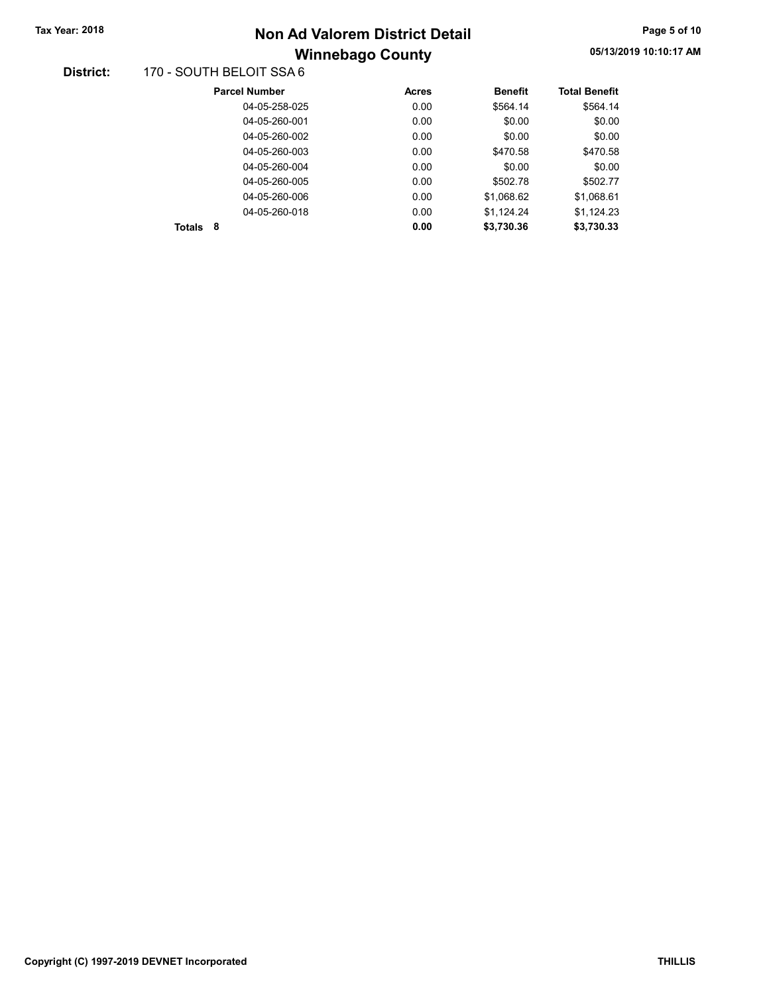# Winnebago County Tax Year: 2018 **Non Ad Valorem District Detail** Tax Year: 2018 **Page 5 of 10**

#### District: 170 - SOUTH BELOIT SSA 6

| <b>Parcel Number</b> | <b>Acres</b> | <b>Benefit</b> | <b>Total Benefit</b> |
|----------------------|--------------|----------------|----------------------|
| 04-05-258-025        | 0.00         | \$564.14       | \$564.14             |
| 04-05-260-001        | 0.00         | \$0.00         | \$0.00               |
| 04-05-260-002        | 0.00         | \$0.00         | \$0.00               |
| 04-05-260-003        | 0.00         | \$470.58       | \$470.58             |
| 04-05-260-004        | 0.00         | \$0.00         | \$0.00               |
| 04-05-260-005        | 0.00         | \$502.78       | \$502.77             |
| 04-05-260-006        | 0.00         | \$1,068.62     | \$1,068.61           |
| 04-05-260-018        | 0.00         | \$1,124.24     | \$1,124.23           |
| 8<br>Totals          | 0.00         | \$3,730.36     | \$3.730.33           |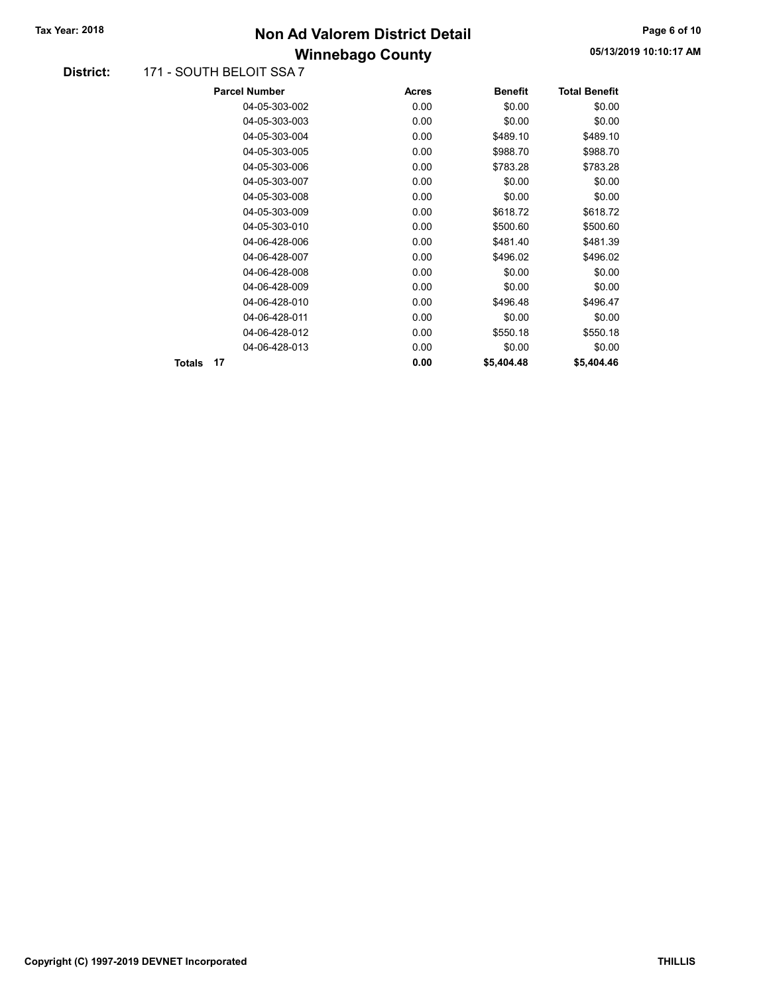### Winnebago County Tax Year: 2018 **Non Ad Valorem District Detail** Tax Year: 2018 **Page 6 of 10**

#### District: 171 - SOUTH BELOIT SSA 7

| <b>Parcel Number</b> |               | <b>Acres</b> | <b>Benefit</b> | <b>Total Benefit</b> |
|----------------------|---------------|--------------|----------------|----------------------|
|                      | 04-05-303-002 | 0.00         | \$0.00         | \$0.00               |
|                      | 04-05-303-003 | 0.00         | \$0.00         | \$0.00               |
|                      | 04-05-303-004 | 0.00         | \$489.10       | \$489.10             |
|                      | 04-05-303-005 | 0.00         | \$988.70       | \$988.70             |
|                      | 04-05-303-006 | 0.00         | \$783.28       | \$783.28             |
|                      | 04-05-303-007 | 0.00         | \$0.00         | \$0.00               |
|                      | 04-05-303-008 | 0.00         | \$0.00         | \$0.00               |
|                      | 04-05-303-009 | 0.00         | \$618.72       | \$618.72             |
|                      | 04-05-303-010 | 0.00         | \$500.60       | \$500.60             |
|                      | 04-06-428-006 | 0.00         | \$481.40       | \$481.39             |
|                      | 04-06-428-007 | 0.00         | \$496.02       | \$496.02             |
|                      | 04-06-428-008 | 0.00         | \$0.00         | \$0.00               |
|                      | 04-06-428-009 | 0.00         | \$0.00         | \$0.00               |
|                      | 04-06-428-010 | 0.00         | \$496.48       | \$496.47             |
|                      | 04-06-428-011 | 0.00         | \$0.00         | \$0.00               |
|                      | 04-06-428-012 | 0.00         | \$550.18       | \$550.18             |
|                      | 04-06-428-013 | 0.00         | \$0.00         | \$0.00               |
| 17<br>Totals         |               | 0.00         | \$5,404.48     | \$5,404.46           |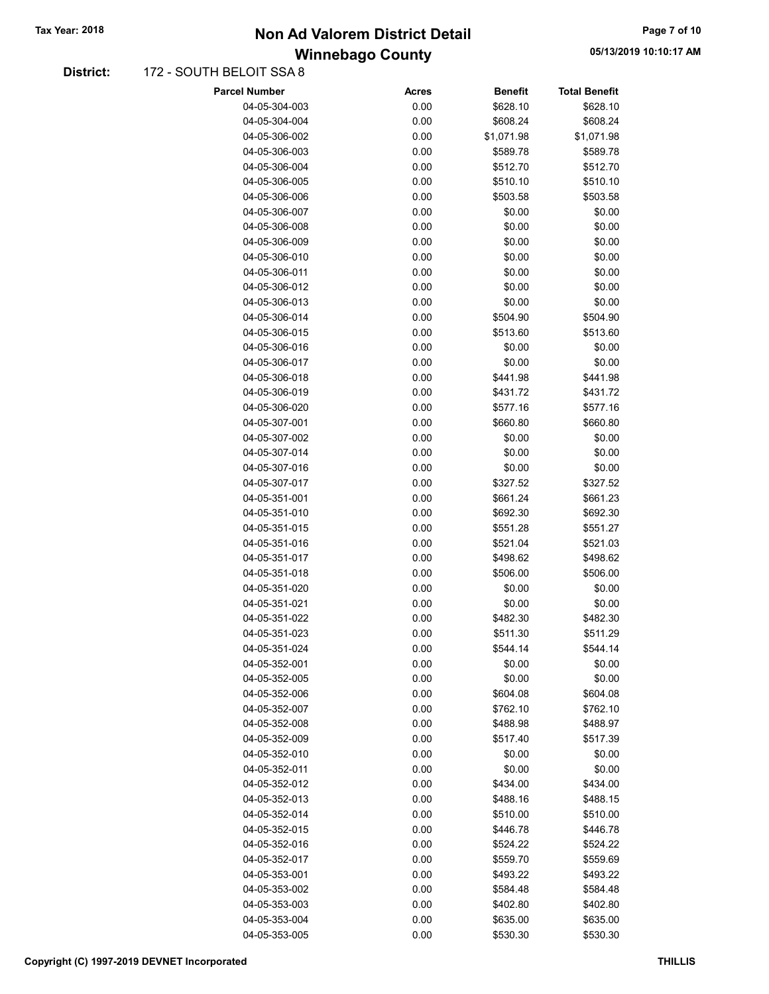### Winnebago County Tax Year: 2018 **Non Ad Valorem District Detail** Tax Year: 2018 **Page 7 of 10**

#### District: 172 - SOUTH BELOIT SSA 8

| <b>Parcel Number</b> | <b>Acres</b> | <b>Benefit</b> | <b>Total Benefit</b> |
|----------------------|--------------|----------------|----------------------|
| 04-05-304-003        | 0.00         | \$628.10       | \$628.10             |
| 04-05-304-004        | 0.00         | \$608.24       | \$608.24             |
| 04-05-306-002        | 0.00         | \$1,071.98     | \$1,071.98           |
| 04-05-306-003        | 0.00         | \$589.78       | \$589.78             |
| 04-05-306-004        | 0.00         | \$512.70       | \$512.70             |
| 04-05-306-005        | 0.00         | \$510.10       | \$510.10             |
| 04-05-306-006        | 0.00         | \$503.58       | \$503.58             |
| 04-05-306-007        | 0.00         | \$0.00         | \$0.00               |
| 04-05-306-008        | 0.00         | \$0.00         | \$0.00               |
| 04-05-306-009        | 0.00         | \$0.00         | \$0.00               |
| 04-05-306-010        | 0.00         | \$0.00         | \$0.00               |
| 04-05-306-011        | 0.00         | \$0.00         | \$0.00               |
| 04-05-306-012        | 0.00         | \$0.00         | \$0.00               |
| 04-05-306-013        | 0.00         | \$0.00         | \$0.00               |
| 04-05-306-014        | 0.00         | \$504.90       | \$504.90             |
| 04-05-306-015        | 0.00         | \$513.60       | \$513.60             |
| 04-05-306-016        | 0.00         | \$0.00         | \$0.00               |
| 04-05-306-017        | 0.00         | \$0.00         | \$0.00               |
| 04-05-306-018        | 0.00         | \$441.98       | \$441.98             |
| 04-05-306-019        | 0.00         | \$431.72       | \$431.72             |
| 04-05-306-020        | 0.00         | \$577.16       | \$577.16             |
| 04-05-307-001        | 0.00         | \$660.80       | \$660.80             |
| 04-05-307-002        | 0.00         | \$0.00         | \$0.00               |
| 04-05-307-014        | 0.00         | \$0.00         | \$0.00               |
| 04-05-307-016        | 0.00         | \$0.00         | \$0.00               |
| 04-05-307-017        | 0.00         | \$327.52       | \$327.52             |
| 04-05-351-001        | 0.00         | \$661.24       | \$661.23             |
| 04-05-351-010        | 0.00         | \$692.30       | \$692.30             |
| 04-05-351-015        | 0.00         | \$551.28       | \$551.27             |
| 04-05-351-016        | 0.00         | \$521.04       | \$521.03             |
| 04-05-351-017        | 0.00         | \$498.62       | \$498.62             |
| 04-05-351-018        | 0.00         | \$506.00       | \$506.00             |
| 04-05-351-020        | 0.00         | \$0.00         | \$0.00               |
| 04-05-351-021        | 0.00         | \$0.00         | \$0.00               |
| 04-05-351-022        | 0.00         | \$482.30       | \$482.30             |
| 04-05-351-023        | 0.00         | \$511.30       | \$511.29             |
| 04-05-351-024        | 0.00         | \$544.14       | \$544.14             |
| 04-05-352-001        | 0.00         | \$0.00         | \$0.00               |
| 04-05-352-005        | 0.00         | \$0.00         | \$0.00               |
| 04-05-352-006        | 0.00         | \$604.08       | \$604.08             |
| 04-05-352-007        | 0.00         | \$762.10       | \$762.10             |
| 04-05-352-008        | 0.00         | \$488.98       | \$488.97             |
| 04-05-352-009        | 0.00         | \$517.40       | \$517.39             |
| 04-05-352-010        | 0.00         | \$0.00         | \$0.00               |
| 04-05-352-011        | 0.00         | \$0.00         | \$0.00               |
| 04-05-352-012        | 0.00         | \$434.00       | \$434.00             |
| 04-05-352-013        | 0.00         | \$488.16       | \$488.15             |
| 04-05-352-014        | 0.00         | \$510.00       | \$510.00             |
| 04-05-352-015        | 0.00         | \$446.78       | \$446.78             |
| 04-05-352-016        | 0.00         | \$524.22       | \$524.22             |
| 04-05-352-017        | 0.00         | \$559.70       | \$559.69             |
| 04-05-353-001        | 0.00         | \$493.22       | \$493.22             |
| 04-05-353-002        | 0.00         | \$584.48       | \$584.48             |
| 04-05-353-003        | 0.00         | \$402.80       | \$402.80             |
| 04-05-353-004        | 0.00         | \$635.00       | \$635.00             |
| 04-05-353-005        | 0.00         | \$530.30       | \$530.30             |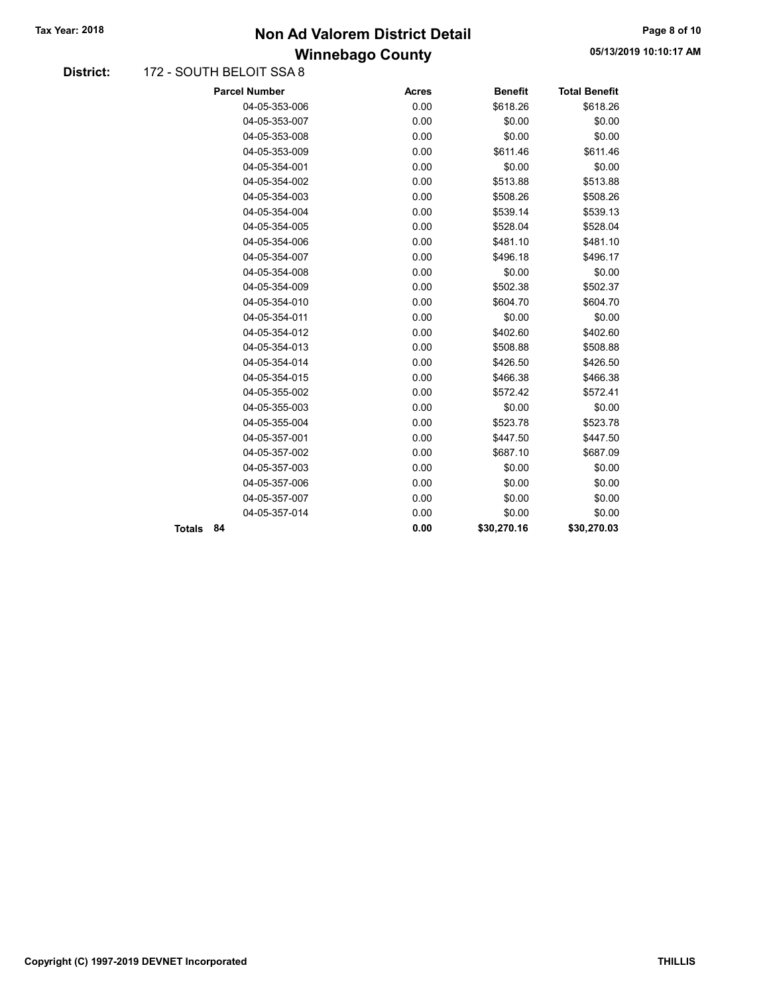### Winnebago County Tax Year: 2018 **Non Ad Valorem District Detail** Tax Year: 2018 **Page 8 of 10**

#### District: 172 - SOUTH BELOIT SSA 8

|               | <b>Parcel Number</b> | <b>Acres</b> | <b>Benefit</b> | <b>Total Benefit</b> |
|---------------|----------------------|--------------|----------------|----------------------|
|               | 04-05-353-006        | 0.00         | \$618.26       | \$618.26             |
|               | 04-05-353-007        | 0.00         | \$0.00         | \$0.00               |
|               | 04-05-353-008        | 0.00         | \$0.00         | \$0.00               |
|               | 04-05-353-009        | 0.00         | \$611.46       | \$611.46             |
|               | 04-05-354-001        | 0.00         | \$0.00         | \$0.00               |
|               | 04-05-354-002        | 0.00         | \$513.88       | \$513.88             |
|               | 04-05-354-003        | 0.00         | \$508.26       | \$508.26             |
|               | 04-05-354-004        | 0.00         | \$539.14       | \$539.13             |
|               | 04-05-354-005        | 0.00         | \$528.04       | \$528.04             |
|               | 04-05-354-006        | 0.00         | \$481.10       | \$481.10             |
|               | 04-05-354-007        | 0.00         | \$496.18       | \$496.17             |
|               | 04-05-354-008        | 0.00         | \$0.00         | \$0.00               |
|               | 04-05-354-009        | 0.00         | \$502.38       | \$502.37             |
|               | 04-05-354-010        | 0.00         | \$604.70       | \$604.70             |
|               | 04-05-354-011        | 0.00         | \$0.00         | \$0.00               |
|               | 04-05-354-012        | 0.00         | \$402.60       | \$402.60             |
|               | 04-05-354-013        | 0.00         | \$508.88       | \$508.88             |
|               | 04-05-354-014        | 0.00         | \$426.50       | \$426.50             |
|               | 04-05-354-015        | 0.00         | \$466.38       | \$466.38             |
|               | 04-05-355-002        | 0.00         | \$572.42       | \$572.41             |
|               | 04-05-355-003        | 0.00         | \$0.00         | \$0.00               |
|               | 04-05-355-004        | 0.00         | \$523.78       | \$523.78             |
|               | 04-05-357-001        | 0.00         | \$447.50       | \$447.50             |
|               | 04-05-357-002        | 0.00         | \$687.10       | \$687.09             |
|               | 04-05-357-003        | 0.00         | \$0.00         | \$0.00               |
|               | 04-05-357-006        | 0.00         | \$0.00         | \$0.00               |
|               | 04-05-357-007        | 0.00         | \$0.00         | \$0.00               |
|               | 04-05-357-014        | 0.00         | \$0.00         | \$0.00               |
| <b>Totals</b> | 84                   | 0.00         | \$30,270.16    | \$30,270.03          |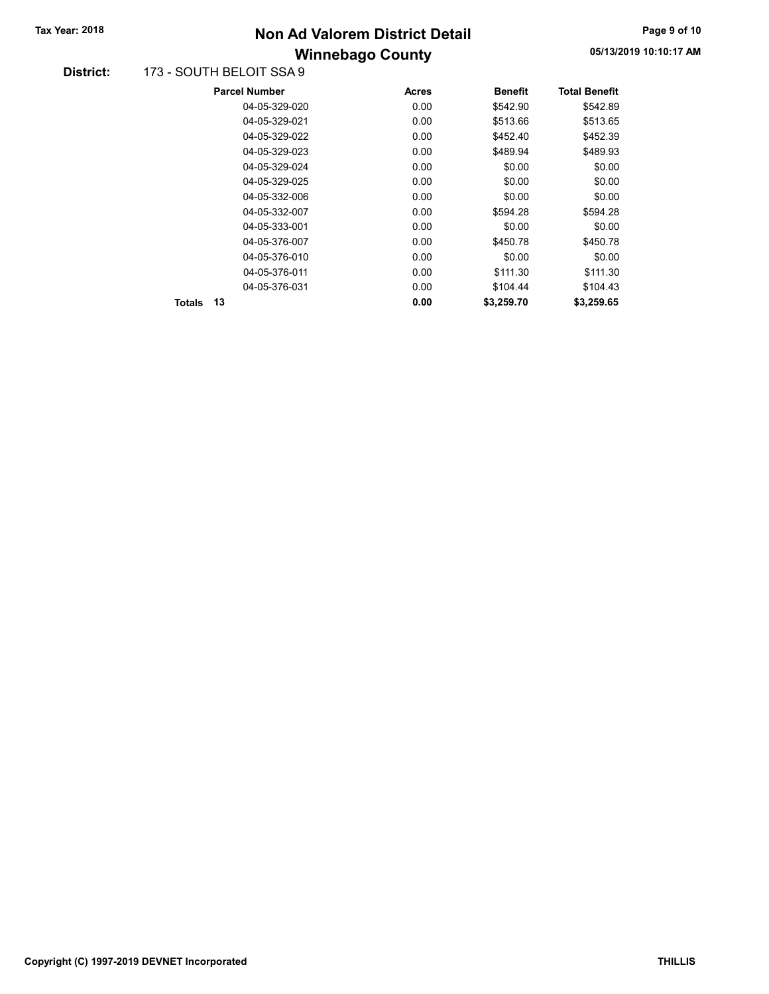# Winnebago County Tax Year: 2018 **Non Ad Valorem District Detail** Tax Year: 2018 **Page 9 of 10**

#### District: 173 - SOUTH BELOIT SSA 9

|               | <b>Parcel Number</b> | <b>Acres</b> | <b>Benefit</b> | <b>Total Benefit</b> |
|---------------|----------------------|--------------|----------------|----------------------|
|               | 04-05-329-020        | 0.00         | \$542.90       | \$542.89             |
|               | 04-05-329-021        | 0.00         | \$513.66       | \$513.65             |
|               | 04-05-329-022        | 0.00         | \$452.40       | \$452.39             |
|               | 04-05-329-023        | 0.00         | \$489.94       | \$489.93             |
|               | 04-05-329-024        | 0.00         | \$0.00         | \$0.00               |
|               | 04-05-329-025        | 0.00         | \$0.00         | \$0.00               |
|               | 04-05-332-006        | 0.00         | \$0.00         | \$0.00               |
|               | 04-05-332-007        | 0.00         | \$594.28       | \$594.28             |
|               | 04-05-333-001        | 0.00         | \$0.00         | \$0.00               |
|               | 04-05-376-007        | 0.00         | \$450.78       | \$450.78             |
|               | 04-05-376-010        | 0.00         | \$0.00         | \$0.00               |
|               | 04-05-376-011        | 0.00         | \$111.30       | \$111.30             |
|               | 04-05-376-031        | 0.00         | \$104.44       | \$104.43             |
| <b>Totals</b> | 13                   | 0.00         | \$3,259.70     | \$3,259.65           |